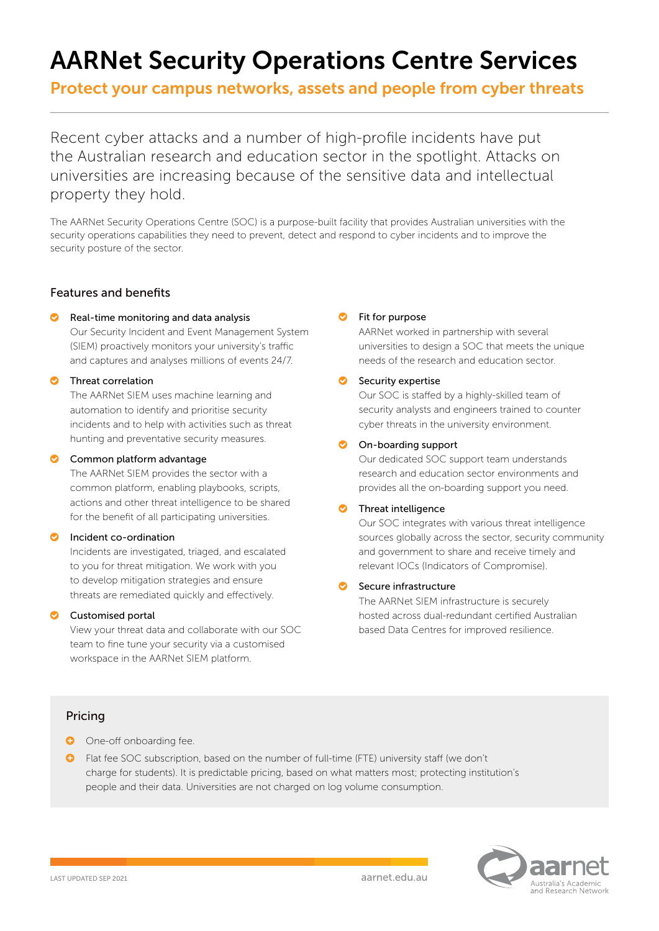# AARNet Security Operations Centre Services

Protect your campus networks, assets and people from cyber threats

Recent cyber attacks and a number of high-profile incidents have put the Australian research and education sector in the spotlight. Attacks on universities are increasing because of the sensitive data and intellectual property they hold.

The AARNet Security Operations Centre (SOC) is a purpose-built facility that provides Australian universities with the security operations capabilities they need to prevent, detect and respond to cyber incidents and to improve the security posture of the sector.

## Features and benefits

#### ` Real-time monitoring and data analysis

Our Security Incident and Event Management System (SIEM) proactively monitors your university's traffic and captures and analyses millions of events 24/7.

#### **O** Threat correlation

The AARNet SIEM uses machine learning and automation to identify and prioritise security incidents and to help with activities such as threat hunting and preventative security measures.

#### **C** Common platform advantage

The AARNet SIEM provides the sector with a common platform, enabling playbooks, scripts, actions and other threat intelligence to be shared for the benefit of all participating universities.

#### **C** Incident co-ordination

Incidents are investigated, triaged, and escalated to you for threat mitigation. We work with you to develop mitigation strategies and ensure threats are remediated quickly and effectively.

## **C** Customised portal

View your threat data and collaborate with our SOC team to fine tune your security via a customised workspace in the AARNet SIEM platform.

#### **O** Fit for purpose

AARNet worked in partnership with several universities to design a SOC that meets the unique needs of the research and education sector.

#### $\bullet$  Security expertise

Our SOC is staffed by a highly-skilled team of security analysts and engineers trained to counter cyber threats in the university environment.

# **O** On-boarding support

Our dedicated SOC support team understands research and education sector environments and provides all the on-boarding support you need.

#### **3** Threat intelligence

Our SOC integrates with various threat intelligence sources globally across the sector, security community and government to share and receive timely and relevant IOCs (Indicators of Compromise).

## Secure infrastructure

The AARNet SIEM infrastructure is securely hosted across dual-redundant certified Australian based Data Centres for improved resilience.

## Pricing

- **O** One-off onboarding fee.
- ] Flat fee SOC subscription, based on the number of full-time (FTE) university staff (we don't charge for students). It is predictable pricing, based on what matters most; protecting institution's people and their data. Universities are not charged on log volume consumption.